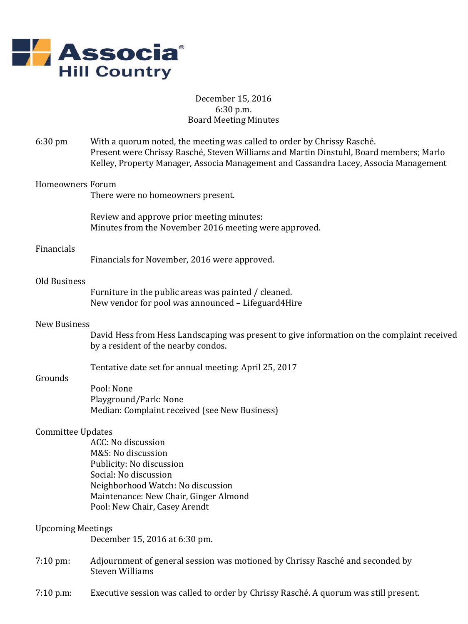

# December 15, 2016 6:30 p.m. Board Meeting Minutes

6:30 pm With a quorum noted, the meeting was called to order by Chrissy Rasché. Present were Chrissy Rasché, Steven Williams and Martin Dinstuhl, Board members; Marlo Kelley, Property Manager, Associa Management and Cassandra Lacey, Associa Management Homeowners Forum There were no homeowners present. Review and approve prior meeting minutes: Minutes from the November 2016 meeting were approved.

### Financials

Financials for November, 2016 were approved.

## Old Business

Furniture in the public areas was painted / cleaned. New vendor for pool was announced – Lifeguard4Hire

#### New Business

David Hess from Hess Landscaping was present to give information on the complaint received by a resident of the nearby condos.

Tentative date set for annual meeting: April 25, 2017

## Grounds

Pool: None Playground/Park: None Median: Complaint received (see New Business)

## Committee Updates

ACC: No discussion M&S: No discussion Publicity: No discussion Social: No discussion Neighborhood Watch: No discussion Maintenance: New Chair, Ginger Almond Pool: New Chair, Casey Arendt

### Upcoming Meetings

December 15, 2016 at 6:30 pm.

- 7:10 pm: Adjournment of general session was motioned by Chrissy Rasché and seconded by Steven Williams
- 7:10 p.m: Executive session was called to order by Chrissy Rasché. A quorum was still present.